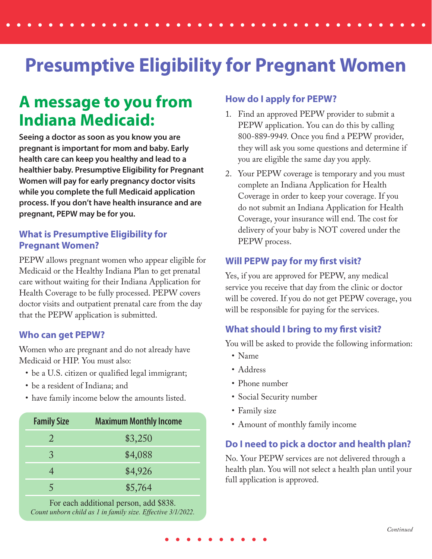# **Presumptive Eligibility for Pregnant Women**

### **A message to you from Indiana Medicaid:**

**Seeing a doctor as soon as you know you are pregnant is important for mom and baby. Early health care can keep you healthy and lead to a healthier baby. Presumptive Eligibility for Pregnant Women will pay for early pregnancy doctor visits while you complete the full Medicaid application process. If you don't have health insurance and are pregnant, PEPW may be for you.**

#### **What is Presumptive Eligibility for Pregnant Women?**

PEPW allows pregnant women who appear eligible for Medicaid or the Healthy Indiana Plan to get prenatal care without waiting for their Indiana Application for Health Coverage to be fully processed. PEPW covers doctor visits and outpatient prenatal care from the day that the PEPW application is submitted.

#### **Who can get PEPW?**

Women who are pregnant and do not already have Medicaid or HIP. You must also:

- be a U.S. citizen or qualified legal immigrant;
- be a resident of Indiana; and
- have family income below the amounts listed.

| <b>Family Size</b> | <b>Maximum Monthly Income</b> |
|--------------------|-------------------------------|
| 2                  | \$3,250                       |
| 3                  | \$4,088                       |
|                    | \$4,926                       |
|                    | \$5,764                       |

For each additional person, add \$838. *Count unborn child as 1 in family size. Effective 3/1/2022.*

#### **How do I apply for PEPW?**

- 1. Find an approved PEPW provider to submit a PEPW application. You can do this by calling 800-889-9949. Once you find a PEPW provider, they will ask you some questions and determine if you are eligible the same day you apply.
- 2. Your PEPW coverage is temporary and you must complete an Indiana Application for Health Coverage in order to keep your coverage. If you do not submit an Indiana Application for Health Coverage, your insurance will end. The cost for delivery of your baby is NOT covered under the PEPW process.

#### **Will PEPW pay for my first visit?**

Yes, if you are approved for PEPW, any medical service you receive that day from the clinic or doctor will be covered. If you do not get PEPW coverage, you will be responsible for paying for the services.

#### **What should I bring to my first visit?**

You will be asked to provide the following information:

- Name
- Address
- Phone number
- Social Security number
- Family size
- Amount of monthly family income

### **Do I need to pick a doctor and health plan?**

No. Your PEPW services are not delivered through a health plan. You will not select a health plan until your full application is approved.